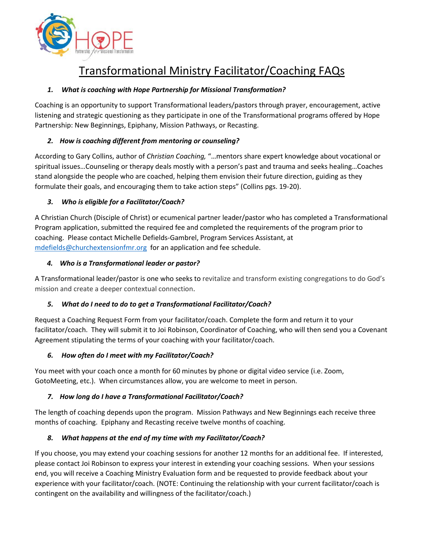

# Transformational Ministry Facilitator/Coaching FAQs

### *1. What is coaching with Hope Partnership for Missional Transformation?*

Coaching is an opportunity to support Transformational leaders/pastors through prayer, encouragement, active listening and strategic questioning as they participate in one of the Transformational programs offered by Hope Partnership: New Beginnings, Epiphany, Mission Pathways, or Recasting.

# *2. How is coaching different from mentoring or counseling?*

According to Gary Collins, author of *Christian Coaching,* "…mentors share expert knowledge about vocational or spiritual issues…Counseling or therapy deals mostly with a person's past and trauma and seeks healing…Coaches stand alongside the people who are coached, helping them envision their future direction, guiding as they formulate their goals, and encouraging them to take action steps" (Collins pgs. 19-20).

# *3. Who is eligible for a Facilitator/Coach?*

A Christian Church (Disciple of Christ) or ecumenical partner leader/pastor who has completed a Transformational Program application, submitted the required fee and completed the requirements of the program prior to coaching. Please contact Michelle Defields-Gambrel, Program Services Assistant, at [mdefields@churchextensionfmr.org](mailto:mdefields@churchextensionfmr.org) for an application and fee schedule.

### *4. Who is a Transformational leader or pastor?*

A Transformational leader/pastor is one who seeks to revitalize and transform existing congregations to do God's mission and create a deeper contextual connection.

### *5. What do I need to do to get a Transformational Facilitator/Coach?*

Request a Coaching Request Form from your facilitator/coach. Complete the form and return it to your facilitator/coach. They will submit it to Joi Robinson, Coordinator of Coaching, who will then send you a Covenant Agreement stipulating the terms of your coaching with your facilitator/coach.

### *6. How often do I meet with my Facilitator/Coach?*

You meet with your coach once a month for 60 minutes by phone or digital video service (i.e. Zoom, GotoMeeting, etc.). When circumstances allow, you are welcome to meet in person.

### *7. How long do I have a Transformational Facilitator/Coach?*

The length of coaching depends upon the program. Mission Pathways and New Beginnings each receive three months of coaching. Epiphany and Recasting receive twelve months of coaching.

### *8. What happens at the end of my time with my Facilitator/Coach?*

If you choose, you may extend your coaching sessions for another 12 months for an additional fee. If interested, please contact Joi Robinson to express your interest in extending your coaching sessions. When your sessions end, you will receive a Coaching Ministry Evaluation form and be requested to provide feedback about your experience with your facilitator/coach. (NOTE: Continuing the relationship with your current facilitator/coach is contingent on the availability and willingness of the facilitator/coach.)